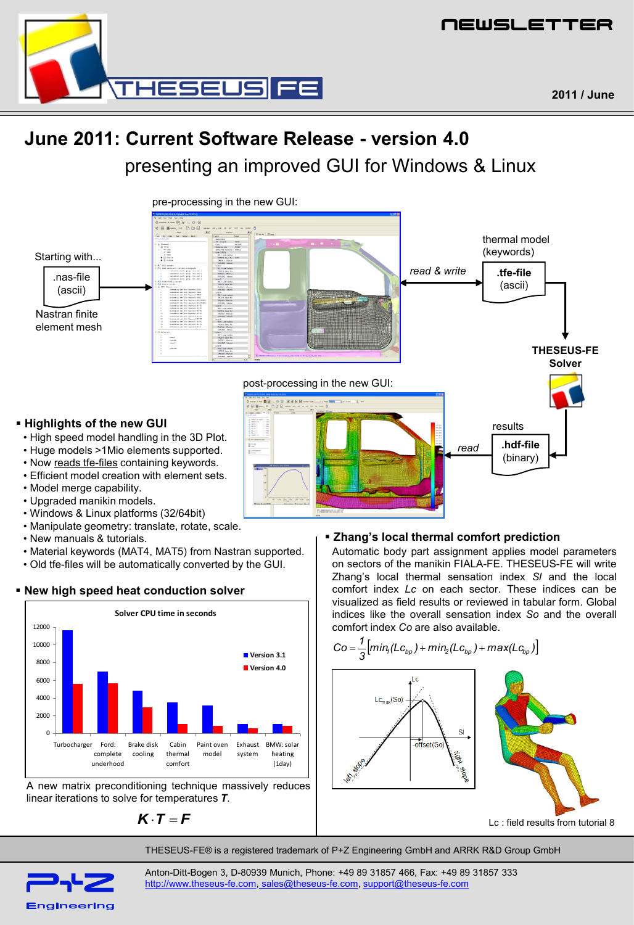

# **June 2011: Current Software Release - version 4.0** presenting an improved GUI for Windows & Linux



- New manuals & tutorials.
- Material keywords (MAT4, MAT5) from Nastran supported.
- Old tfe-files will be automatically converted by the GUI.

# **New high speed heat conduction solver**



A new matrix preconditioning technique massively reduces linear iterations to solve for temperatures *T*.

$$
\boldsymbol{K}\cdot\boldsymbol{T}=\boldsymbol{F}
$$

**Zhang's local thermal comfort prediction**

Automatic body part assignment applies model parameters on sectors of the manikin FIALA-FE. THESEUS-FE will write Zhang's local thermal sensation index *Sl* and the local comfort index *Lc* on each sector. These indices can be visualized as field results or reviewed in tabular form. Global indices like the overall sensation index *So* and the overall comfort index *Co* are also available.



THESEUS-FE® is a registered trademark of P+Z Engineering GmbH and ARRK R&D Group GmbH



Anton-Ditt-Bogen 3, D-80939 Munich, Phone: +49 89 31857 466, Fax: +49 89 31857 333 [http://www.theseus-fe.com](http://www.theseus-fe.com/), [sales@theseus-fe.com](mailto:%20sales@theseus-fe.com), [support@theseus-fe.com](mailto:support@theseus-fe.com)

**2011 / June**

NEWSLETTER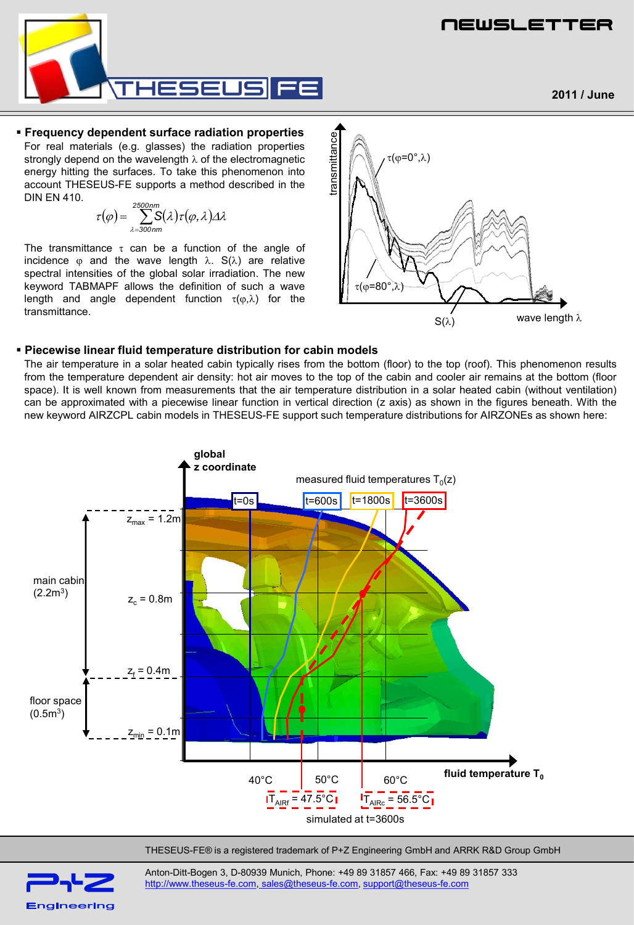

NEWSLETTER

## **Frequency dependent surface radiation properties**

For real materials (e.g. glasses) the radiation properties strongly depend on the wavelength  $\lambda$  of the electromagnetic energy hitting the surfaces. To take this phenomenon into account THESEUS-FE supports a method described in the DIN EN 410.

$$
\tau(\varphi) = \sum_{\lambda=300nm}^{2500nm} S(\lambda) \tau(\varphi, \lambda) \Delta \lambda
$$

The transmittance  $\tau$  can be a function of the angle of incidence  $\varphi$  and the wave length  $\lambda$ . S( $\lambda$ ) are relative spectral intensities of the global solar irradiation. The new keyword TABMAPF allows the definition of such a wave length and angle dependent function  $\tau(\varphi,\lambda)$  for the transmittance.



### **Piecewise linear fluid temperature distribution for cabin models**

The air temperature in a solar heated cabin typically rises from the bottom (floor) to the top (roof). This phenomenon results from the temperature dependent air density: hot air moves to the top of the cabin and cooler air remains at the bottom (floor space). It is well known from measurements that the air temperature distribution in a solar heated cabin (without ventilation) can be approximated with a piecewise linear function in vertical direction (z axis) as shown in the figures beneath. With the



THESEUS-FE® is a registered trademark of P+Z Engineering GmbH and ARRK R&D Group GmbH



Anton-Ditt-Bogen 3, D-80939 Munich, Phone: +49 89 31857 466, Fax: +49 89 31857 333 [http://www.theseus-fe.com](http://www.theseus-fe.com/), [sales@theseus-fe.com](mailto:%20sales@theseus-fe.com), [support@theseus-fe.com](mailto:support@theseus-fe.com)